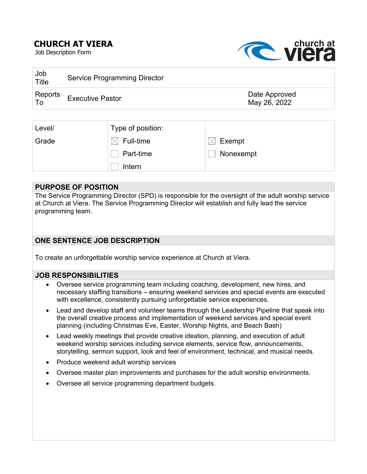# **CHURCH AT VIERA**

Job Description Form



| Job<br><b>Title</b>                  | Service Programming Director |                               |
|--------------------------------------|------------------------------|-------------------------------|
| Reports<br>$\overline{\mathsf{I}}$ o | <b>Executive Pastor</b>      | Date Approved<br>May 26, 2022 |
|                                      |                              |                               |

| Level/ | Type of position: |           |
|--------|-------------------|-----------|
| Grade  | Full-time         | Exempt    |
|        | Part-time         | Nonexempt |
|        | Intern            |           |

### **PURPOSE OF POSITION**

The Service Programming Director (SPD) is responsible for the oversight of the adult worship service at Church at Viera. The Service Programming Director will establish and fully lead the service programming team.

## **ONE SENTENCE JOB DESCRIPTION**

To create an unforgettable worship service experience at Church at Viera.

### **JOB RESPONSIBILITIES**

- Oversee service programming team including coaching, development, new hires, and necessary staffing transitions – ensuring weekend services and special events are executed with excellence, consistently pursuing unforgettable service experiences.
- Lead and develop staff and volunteer teams through the Leadership Pipeline that speak into the overall creative process and implementation of weekend services and special event planning (including Christmas Eve, Easter, Worship Nights, and Beach Bash)
- Lead weekly meetings that provide creative ideation, planning, and execution of adult weekend worship services including service elements, service flow, announcements, storytelling, sermon support, look and feel of environment, technical, and musical needs.
- Produce weekend adult worship services
- Oversee master plan improvements and purchases for the adult worship environments.
- Oversee all service programming department budgets.